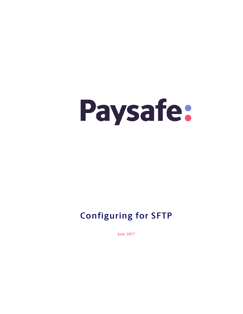# Paysafe:

## **Configuring for SFTP**

June 2017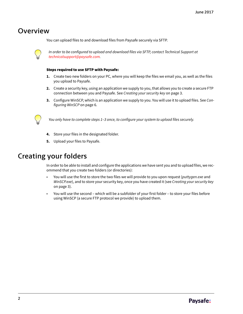## **Overview**

You can upload files to and download files from Paysafe securely via SFTP.



In order to be configured to upload and download files via SFTP, contact Technical Support at [technicalsupport@paysafe.com.](mailto:technicalsupport@paysafe.com)

#### Steps required to use SFTP with Paysafe:

- **1.** Create two new folders on your PC, where you will keep the files we email you, as well as the files you upload to Paysafe.
- **2.** Create a security key, using an application we supply to you, that allows you to create a secure FTP connection between you and Paysafe. See [Creating your security key](#page-2-0) on page 3.
- **3.** Configure WinSCP, which is an application we supply to you. You will use it to upload files. See [Con](#page-5-0)[figuring WinSCP](#page-5-0) on page 6.



You only have to complete steps 1–3 once, to configure your system to upload files securely.

- **4.** Store your files in the designated folder.
- **5.** Upload your files to Paysafe.

## <span id="page-1-0"></span>**Creating your folders**

In order to be able to install and configure the applications we have sent you and to upload files, we recommend that you create two folders (or directories):

- You will use the first to store the two files we will provide to you upon request (puttygen.exe and WinSCP.exe), and to store your security key, once you have created it (see Creating your security key [on page 3](#page-2-0)).
- You will use the second which will be a subfolder of your first folder to store your files before using WinSCP (a secure FTP protocol we provide) to upload them.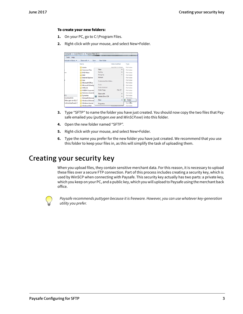#### To create your new folders:

- **1.** On your PC, go to C:\Program Files.
- **2.** Right-click with your mouse, and select New>Folder.

| Tools<br>Help               |                           |                                  |                    |
|-----------------------------|---------------------------|----------------------------------|--------------------|
| Include in library =        | Share with =<br>Burn      | New folder                       |                    |
|                             | Name                      | Date modified                    | Type               |
|                             | Adobe                     | 9/4/2012 2-35 PM                 | File folder        |
|                             | <b>Common Files</b>       | View<br>٠                        | File folder        |
| :es                         | <b>DVD Maker</b>          | Sort by<br>٠                     | <b>File folder</b> |
|                             | Intel                     | Group by<br>٠                    | File folder        |
|                             | <b>Internet Explorer</b>  | Refresh                          | File folder        |
|                             | <b>Java</b>               | Customize this folder            | File folder        |
|                             | Microsoft Office          |                                  | File folder        |
|                             | Microsoft Silverlig       | Paste                            | File folder        |
|                             | MSRoild                   | <b>Paste shortcut</b>            | File folder        |
|                             | <b>NVIDIA</b> Corporatio  | $Ctrl + Z$<br><b>Undo Copy</b>   | <b>File folder</b> |
|                             | <b>Reference Assemb</b>   | Share with<br>٠                  | File folder        |
| (C)                         | Symantec                  | <b>Adobe Drive CS4</b><br>×      | File folder        |
| montreal) (S:)              | <b>Uninstall Informat</b> |                                  | File folder.       |
| Moc-gen-crs-01) (1          | Windows Defende           | New<br>×.                        | Folder             |
| <b>\sfmontreal\user)</b> (1 | Windows Journal           | <b>Properties</b>                | File forder        |
|                             | Windows Mail              | <b><i>DISCUSSING 1:30 PT</i></b> | <b>File folder</b> |

- **3.** Type "SFTP" to name the folder you have just created. You should now copy the two files that Paysafe emailed you (puttygen.exe and WinSCP.exe) into this folder.
- **4.** Open the new folder named "SFTP".
- **5.** Right-click with your mouse, and select New>Folder.
- **6.** Type the name you prefer for the new folder you have just created. We recommend that you use this folder to keep your files in, as this will simplify the task of uploading them.

## <span id="page-2-0"></span>**Creating your security key**

When you upload files, they contain sensitive merchant data. For this reason, it is necessary to upload these files over a secure FTP connection. Part of this process includes creating a security key, which is used by WinSCP when connecting with Paysafe. This security key actually has two parts: a private key, which you keep on your PC, and a public key, which you will upload to Paysafe using the merchant back office.



Paysafe recommends puttygen because it is freeware. However, you can use whatever key-generation utility you prefer.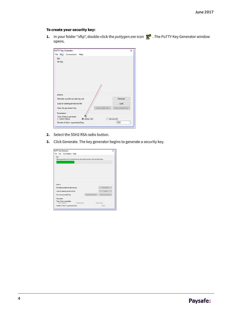#### To create your security key:

**1.** In your folder "sftp", double-click the *puttygen.exe* icon **...** The PuTTY Key Generator window opens.

|                   | <b>PuTTY Key Generator</b>         |                      |                 | ×                      |
|-------------------|------------------------------------|----------------------|-----------------|------------------------|
|                   | File Key Conversions Help          |                      |                 |                        |
| Key               |                                    |                      |                 |                        |
| No key.           |                                    |                      |                 |                        |
|                   |                                    |                      |                 |                        |
|                   |                                    |                      |                 |                        |
|                   |                                    |                      |                 |                        |
|                   |                                    |                      |                 |                        |
|                   |                                    |                      |                 |                        |
|                   |                                    |                      |                 |                        |
| Actions           |                                    |                      |                 |                        |
|                   | Generate a public/private key pair |                      |                 | Generate               |
|                   |                                    |                      |                 |                        |
|                   | Load an existing private key file  |                      |                 | Load                   |
|                   | Save the generated key             |                      | Save public key | Save private key       |
| <b>Parameters</b> |                                    |                      |                 |                        |
| ◯ SSH1 (RSA)      | Type of key to generate:           | SSH <sub>2</sub> RSA |                 | ◯ SSH <sub>2</sub> DSA |

- **2.** Select the SSH2 RSA radio button.
- **3.** Click Generate. The key generator begins to generate a security key.

| <b>PuTTY Key Generator</b>                                               |                 | ×                    |
|--------------------------------------------------------------------------|-----------------|----------------------|
| File Key Conversions Help                                                |                 |                      |
| Key                                                                      |                 |                      |
| Please generate some randomness by moving the mouse over the blank area. |                 |                      |
|                                                                          |                 |                      |
|                                                                          |                 |                      |
|                                                                          |                 |                      |
|                                                                          |                 |                      |
|                                                                          |                 |                      |
|                                                                          |                 |                      |
|                                                                          |                 |                      |
|                                                                          |                 |                      |
|                                                                          |                 |                      |
| Actions                                                                  |                 |                      |
| Generate a public/private key pair                                       |                 | Generate             |
| Load an existing private key file                                        |                 | Load                 |
| Save the generated key                                                   | Save public key | Save private key     |
| <b>Parameters</b>                                                        |                 |                      |
| Type of key to generate:<br>C SSH2 RSA<br>SSH1 (RSA)                     |                 | SSH <sub>2</sub> DSA |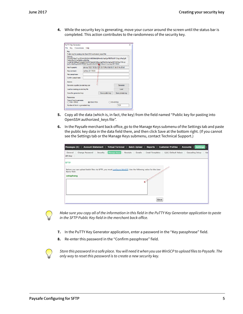**4.** While the security key is generating, move your cursor around the screen until the status bar is completed. This action contributes to the randomness of the security key.

| File Key Conversions Help                |                                                                                                                                                                                                          |                                                              |                  |
|------------------------------------------|----------------------------------------------------------------------------------------------------------------------------------------------------------------------------------------------------------|--------------------------------------------------------------|------------------|
| Kev                                      |                                                                                                                                                                                                          |                                                              |                  |
|                                          | Public key for pasting into OpenSSH authorized keys2 file:                                                                                                                                               |                                                              |                  |
| ssh-rsa<br>3oKcD5uCiCJreReMcrvzMx2Ge     | AAAAB3NzaC1yc2EAAAABJQAAAIB304bNjPrhwKpYqaCqt/f5B7EoOF1CAqLcPmj2q9l<br>+JAB7iE330KeAPD62a9VPkOF072vk4iGFi8Con3aKRbNDoViaGaDKT5KRAmTWmLt<br>mZL+XenfhoyJQWCPMMjP7xsaJtZvS8c2l8Yi@UD4ww== rsa-key-20170630 |                                                              |                  |
| Key fingerprint:                         |                                                                                                                                                                                                          | ssh-rsa 1023 18:32:d7:91:09:70:f6:cf:8d:60:01:8d:01:4c:0f:b0 |                  |
| Key comment:                             | rsa-kev-20170630                                                                                                                                                                                         |                                                              |                  |
| Key passphrase:                          |                                                                                                                                                                                                          |                                                              |                  |
| Confirm passphrase:                      |                                                                                                                                                                                                          |                                                              |                  |
| Actions                                  |                                                                                                                                                                                                          |                                                              |                  |
| Generate a public/private key pair       |                                                                                                                                                                                                          |                                                              | Generate         |
| Load an existing private key file        |                                                                                                                                                                                                          |                                                              | Load             |
| Save the generated key                   |                                                                                                                                                                                                          | Save public key                                              | Save private key |
| Parameters                               |                                                                                                                                                                                                          |                                                              |                  |
| Type of key to generate:<br>◯ SSH1 (RSA) | C SSH2 RSA                                                                                                                                                                                               |                                                              | SSH2 DSA         |
| Number of bits in a generated key:       |                                                                                                                                                                                                          |                                                              | 1024             |

- **5.** Copy all the data (which is, in fact, the key) from the field named "Public key for pasting into OpenSSH authorized\_keys file".
- **6.** In the Paysafe merchant back office, go to the Manage Keys submenu of the Settings tab and paste the public key data in the data field there, and then click Save at the bottom right. (If you cannot see the Settings tab or the Manage Keys submenu, contact Technical Support.)

| Settings   <br><b>Account Statement</b><br>Virtual Terminal<br><b>Batch Upload</b><br><b>Customer Profiles</b>  <br><b>Accounts</b><br>Messages (5)  <br>Reports |
|------------------------------------------------------------------------------------------------------------------------------------------------------------------|
| Change Password<br>Security<br>Manage Keys<br>Emails<br>Email Templates<br>L2/L3 Default Values<br>Cascading Setup<br>Receipts<br>General<br>Use<br>API Key      |
| <b>SFTP</b>                                                                                                                                                      |
| Before you can upload batch files via SFTP, you must configure WinSCP. Use the following value for the User<br>Name field:<br>ustepheng                          |
| Save                                                                                                                                                             |



Make sure you copy all of the information in this field in the PuTTY Key Generator application to paste in the SFTP Public Key field in the merchant back office.

**7.** In the PuTTY Key Generator application, enter a password in the "Key passphrase" field.

**8.** Re-enter this password in the "Confirm passphrase" field.

Store this password in a safe place. You will need it when you use WinSCP to upload files to Paysafe. The only way to reset this password is to create a new security key.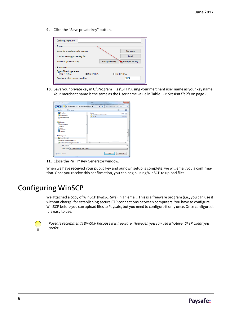**9.** Click the "Save private key" button.

| Confirm passphrase:                                            |                 |                  |
|----------------------------------------------------------------|-----------------|------------------|
| Actions                                                        |                 |                  |
| Generate a public/private key pair                             |                 | Generate         |
| Load an existing private key file                              |                 | Load             |
| Save the generated key                                         | Save public key | Save private key |
| Parameters                                                     |                 |                  |
| Type of key to generate:<br>SSH <sub>2</sub> RSA<br>SSH1 (RSA) |                 | ◯ SSH2 DSA       |
| Number of bits in a generated key:                             |                 | 1024             |

10. Save your private key in C:\Program Files\SFTP, using your merchant user name as your key name. Your merchant name is the same as the User name value in Table 1-1: [Session Fields](#page-6-0) on page 7.

|                                                                              |                                               | Search Program Files (x86)<br>$-149$                                                                                                                                                                                                      | م                                          |
|------------------------------------------------------------------------------|-----------------------------------------------|-------------------------------------------------------------------------------------------------------------------------------------------------------------------------------------------------------------------------------------------|--------------------------------------------|
| New folder<br>Organize -                                                     |                                               |                                                                                                                                                                                                                                           | ø<br>811                                   |
| Desktop<br><b>Downloads</b><br><b>Recent Places</b>                          | Name<br>SFTP                                  | z<br><b>By ALL ALL AND A REPORT OF A STATE OF A REPORT OF A REPORT OF A REPORT OF A REPORT OF A REPORT OF A REPORT OF A REPORT OF A REPORT OF A REPORT OF A REPORT OF A REPORT OF A REPORT OF A REPORT OF A REPORT OF A REPORT OF A R</b> | Date mo<br><b>CARD SERVICE</b><br>2/26/201 |
| <b>El Libraries</b><br>• Documents<br>A Music<br>Pictures<br><b>H</b> Videos |                                               |                                                                                                                                                                                                                                           |                                            |
| <b>N</b> Computer                                                            |                                               |                                                                                                                                                                                                                                           |                                            |
| Local Disk (C:)<br>group (\\sfmontreal) (S:)                                 |                                               |                                                                                                                                                                                                                                           |                                            |
| websites (\\Moc-gen-crs-01) (T:)                                             | m.<br>$\left  \cdot \right $                  |                                                                                                                                                                                                                                           |                                            |
| File name:                                                                   |                                               |                                                                                                                                                                                                                                           | ٠                                          |
|                                                                              | Save as type: PuTTY Private Key Files (".ppk) |                                                                                                                                                                                                                                           |                                            |

11. Close the PuTTY Key Generator window.

When we have received your public key and our own setup is complete, we will email you a confirmation. Once you receive this confirmation, you can begin using WinSCP to upload files.

#### <span id="page-5-0"></span>**Configuring WinSCP**

We attached a copy of WinSCP (WinSCP.exe) in an email. This is a freeware program (i.e., you can use it without charge) for establishing secure FTP connections between computers. You have to configure WinSCP before you can upload files to Paysafe, but you need to configure it only once. Once configured, it is easy to use.



Paysafe recommends WinSCP because it is freeware. However, you can use whatever SFTP client you prefer.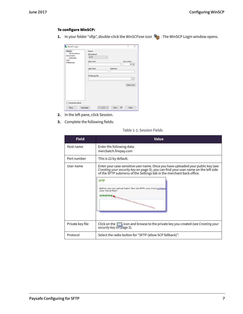#### To configure WinSCP:

**1.** In your folder "sftp", double-click the WinSCP exe icon **The WinSCP Login window opens.** 

| <b>WinSCP Login</b>                                                                     |                                                        |                     | 2<br>$\times$          |
|-----------------------------------------------------------------------------------------|--------------------------------------------------------|---------------------|------------------------|
| Session<br>- Stored sessions<br>Environment<br>Directories<br><b>SSH</b><br>Preferences | Session<br>File protocol:<br><b>SFTP</b><br>Host name: | $\checkmark$        | Port number:           |
|                                                                                         | User name:<br>Private key file:                        | Password:           | $22 - 1$               |
|                                                                                         |                                                        |                     | $\sim$<br>Select color |
|                                                                                         |                                                        |                     |                        |
| Advanced options                                                                        |                                                        |                     |                        |
| About                                                                                   | Login<br>Languages                                     | Save $ \mathbf{v} $ | Close                  |

- **2.** In the left pane, click Session.
- **3.** Complete the following fields:

| Table 1-1: Session Fields |  |  |  |  |
|---------------------------|--|--|--|--|
|---------------------------|--|--|--|--|

<span id="page-6-0"></span>

| <b>Field</b>     | <b>Value</b>                                                                                                                                                                                                                                                                                                                                                       |
|------------------|--------------------------------------------------------------------------------------------------------------------------------------------------------------------------------------------------------------------------------------------------------------------------------------------------------------------------------------------------------------------|
| Host name        | Enter the following data:<br>mercbatch.firepay.com                                                                                                                                                                                                                                                                                                                 |
| Port number      | This is 22 by default.                                                                                                                                                                                                                                                                                                                                             |
| User name        | Enter your case-sensitive user name. Once you have uploaded your public key (see<br>Creating your security key on page 3), you can find your user name on the left side<br>of the SFTP submenu of the Settings tab in the merchant back office.<br><b>SFTP</b><br>Before you can upload batch files via SFTP, you must configure<br>User Name field:<br>ustepheng, |
| Private key file | Click on the $\Box$ icon and browse to the private key you created (see <i>Creating your</i><br>security key on page 3).                                                                                                                                                                                                                                           |
| Protocol         | Select the radio button for "SFTP (allow SCP fallback)".                                                                                                                                                                                                                                                                                                           |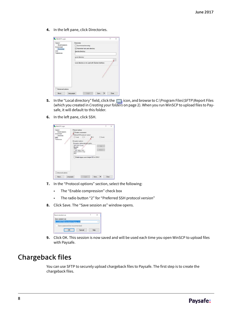**4.** In the left pane, click Directories.

| WinSCP Login<br>Session<br>Stored sessions<br>Environment<br>Directories | Directories<br>Synchronize browsing<br>Remember last used directory | $\times$   |
|--------------------------------------------------------------------------|---------------------------------------------------------------------|------------|
| <b>SSH</b><br>Preferences                                                | Bemote directory:<br>Local directory:                               |            |
|                                                                          | Local directory is not used with Explorer interface.                | $\epsilon$ |
|                                                                          |                                                                     |            |
|                                                                          |                                                                     |            |
|                                                                          |                                                                     |            |
| Advanced options                                                         |                                                                     |            |
| About.                                                                   | $5$ ave<br>Close<br>Login<br>Languages                              |            |

- **5.** In the "Local directory" field, click the **integral isom, and browse to C:\Program Files\SFTP\Report Files** (which you created in [Creating your folders](#page-1-0) on page 2). When you run WinSCP to upload files to Paysafe, it will default to this folder.
- **6.** In the left pane, click SSH.

| Session<br>Stored sessions | Protocol options<br>Enable compression   |           |       |
|----------------------------|------------------------------------------|-----------|-------|
| Environment                | Preferred SSH protocol version:          |           |       |
| - Directories<br>SSH       | $O1$ anly $O1$<br>02                     | $O2$ orly |       |
| Preferences                |                                          |           |       |
|                            | Encryption options                       |           |       |
|                            | Encryption cipher selection golicy:      |           |       |
|                            | AES (SSH-2 only)<br>Blowfish             | tie)      |       |
|                            | 3DES<br>- warn below here -              | Down      |       |
|                            | Arcfour (SSH-2 only)<br>DES.             |           |       |
|                            | Enable legacy use of single-DES in SSH-2 |           |       |
|                            |                                          |           |       |
|                            |                                          |           |       |
| Advanced options           |                                          |           |       |
|                            |                                          | Save      | Close |

- **7.** In the "Protocol options" section, select the following:
	- The "Enable compression" check box
	- The radio button "2" for "Preferred SSH protocol version"
- **8.** Click Save. The "Save session as" window opens.

| Save session as                 |        |  |  |  |  |  |
|---------------------------------|--------|--|--|--|--|--|
| ave session as:                 |        |  |  |  |  |  |
| m12345678@mercbatch.frepay.com  |        |  |  |  |  |  |
| Save password (not recommended) |        |  |  |  |  |  |
|                                 | Cancel |  |  |  |  |  |

**9.** Click OK. This session is now saved and will be used each time you open WinSCP to upload files with Paysafe.

### **Chargeback files**

You can use SFTP to securely upload chargeback files to Paysafe. The first step is to create the chargeback files.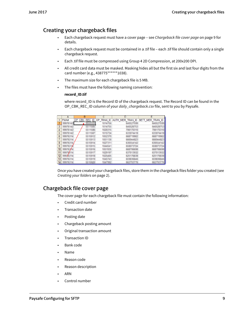#### **Creating your chargeback files**

- Each chargeback request must have a cover page see [Chargeback file cover page](#page-8-0) on page 9 for details.
- Each chargeback request must be contained in a .tif file each .tif file should contain only a single chargeback request.
- Each .tif file must be compressed using Group 4 2D Compression, at 200x200 DPI.
- All credit card data must be masked. Masking hides all but the first six and last four digits from the card number (e.g., 438775\*\*\*\*\*\*1038).
- The maximum size for each chargeback file is 5 MB.
- The files must have the following naming convention:

#### **record\_ID.tif**

where record\_ID is the Record ID of the chargeback request. The Record ID can be found in the OP\_CBK\_REC\_ID column of your daily\_chargeback.csv file, sent to you by Paysafe.

|                | А    | B |                   | c       |                                           |                  |  |
|----------------|------|---|-------------------|---------|-------------------------------------------|------------------|--|
|                | FMA# |   |                   |         | OP CBK REC ID OP TRAN ID AUTH MER TRAN ID | SETT MER TRAN ID |  |
| $\overline{2}$ |      |   | 5555555           |         |                                           |                  |  |
| 3              |      |   |                   |         |                                           |                  |  |
| 4              |      |   |                   |         |                                           |                  |  |
| 5              |      |   |                   | 11 11 7 | 6330766                                   | 転じはけ             |  |
| 6              |      |   | <b>EXL REGULE</b> |         |                                           |                  |  |
| 7              |      |   | LA TITAN          |         |                                           |                  |  |
| 8              |      |   |                   |         |                                           |                  |  |
| 9              |      |   |                   |         |                                           |                  |  |
| 10             |      |   |                   |         |                                           |                  |  |
| 11             |      |   |                   |         |                                           |                  |  |
| 12             |      |   | 有性性利用             |         |                                           |                  |  |
| 13             |      |   |                   |         |                                           |                  |  |
| 14             |      |   | <b>REGION</b>     |         | 101229-01729                              | セヒンクセミアカ         |  |

Once you have created your chargeback files, store them in the chargeback files folder you created (see [Creating your folders](#page-1-0) on page 2).

#### <span id="page-8-0"></span>**Chargeback file cover page**

The cover page for each chargeback file must contain the following information:

- Credit card number
- Transaction date
- Posting date
- Chargeback posting amount
- Original transaction amount
- Transaction ID
- Bank code
- Name
- Reason code
- Reason description
- ARN
- Control number